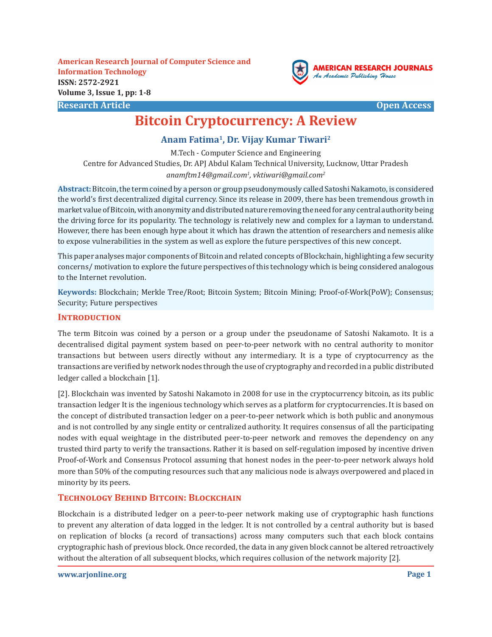**American Research Journal of Computer Science and Information Technology ISSN: 2572-2921 Volume 3, Issue 1, pp: 1-8**

**Research Article Community Community Community Community Community Community Community Community Community Community** 



# **Bitcoin Cryptocurrency: A Review**

# **Anam Fatima1, Dr. Vijay Kumar Tiwari<sup>2</sup>**

M.Tech - Computer Science and Engineering Centre for Advanced Studies, Dr. APJ Abdul Kalam Technical University, Lucknow, Uttar Pradesh *anamftm14@gmail.com1 , vktiwari@gmail.com2*

**Abstract:** Bitcoin, the term coined by a person or group pseudonymously called Satoshi Nakamoto, is considered the world's first decentralized digital currency. Since its release in 2009, there has been tremendous growth in market value of Bitcoin, with anonymity and distributed nature removing the need for any central authority being the driving force for its popularity. The technology is relatively new and complex for a layman to understand. However, there has been enough hype about it which has drawn the attention of researchers and nemesis alike to expose vulnerabilities in the system as well as explore the future perspectives of this new concept.

This paper analyses major components of Bitcoin and related concepts of Blockchain, highlighting a few security concerns/ motivation to explore the future perspectives of this technology which is being considered analogous to the Internet revolution.

**Keywords:** Blockchain; Merkle Tree/Root; Bitcoin System; Bitcoin Mining; Proof-of-Work(PoW); Consensus; Security; Future perspectives

## **Introduction**

The term Bitcoin was coined by a person or a group under the pseudoname of Satoshi Nakamoto. It is a decentralised digital payment system based on peer-to-peer network with no central authority to monitor transactions but between users directly without any intermediary. It is a type of cryptocurrency as the transactions are verified by network nodes through the use of cryptography and recorded in a public distributed ledger called a blockchain [1].

[2]. Blockchain was invented by Satoshi Nakamoto in 2008 for use in the cryptocurrency bitcoin, as its public transaction ledger It is the ingenious technology which serves as a platform for cryptocurrencies. It is based on the concept of distributed transaction ledger on a peer-to-peer network which is both public and anonymous and is not controlled by any single entity or centralized authority. It requires consensus of all the participating nodes with equal weightage in the distributed peer-to-peer network and removes the dependency on any trusted third party to verify the transactions. Rather it is based on self-regulation imposed by incentive driven Proof-of-Work and Consensus Protocol assuming that honest nodes in the peer-to-peer network always hold more than 50% of the computing resources such that any malicious node is always overpowered and placed in minority by its peers.

# **Technology Behind Bitcoin: Blockchain**

Blockchain is a distributed ledger on a peer-to-peer network making use of cryptographic hash functions to prevent any alteration of data logged in the ledger. It is not controlled by a central authority but is based on replication of blocks (a record of transactions) across many computers such that each block contains cryptographic hash of previous block. Once recorded, the data in any given block cannot be altered retroactively without the alteration of all subsequent blocks, which requires collusion of the network majority [2].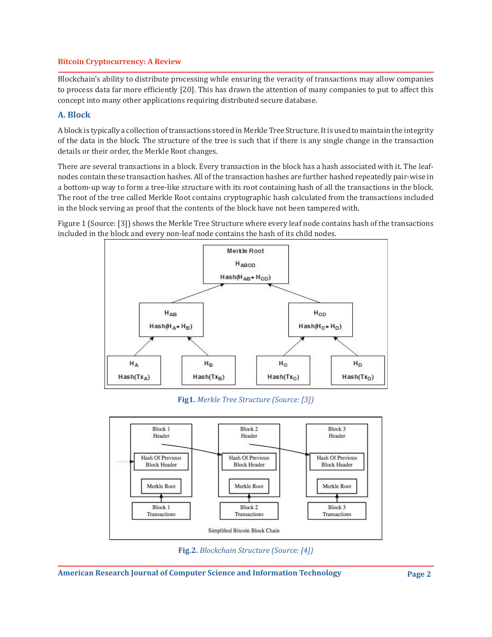Blockchain's ability to distribute processing while ensuring the veracity of transactions may allow companies to process data far more efficiently [20]. This has drawn the attention of many companies to put to affect this concept into many other applications requiring distributed secure database.

## **A. Block**

A block is typically a collection of transactions stored in Merkle Tree Structure. It is used to maintain the integrity of the data in the block. The structure of the tree is such that if there is any single change in the transaction details or their order, the Merkle Root changes.

There are several transactions in a block. Every transaction in the block has a hash associated with it. The leafnodes contain these transaction hashes. All of the transaction hashes are further hashed repeatedly pair-wise in a bottom-up way to form a tree-like structure with its root containing hash of all the transactions in the block. The root of the tree called Merkle Root contains cryptographic hash calculated from the transactions included in the block serving as proof that the contents of the block have not been tampered with.

Figure 1 (Source: [3]) shows the Merkle Tree Structure where every leaf node contains hash of the transactions included in the block and every non-leaf node contains the hash of its child nodes.



**Fig1.** *Merkle Tree Structure (Source: [3])*



**Fig.2.** *Blockchain Structure (Source: [4])*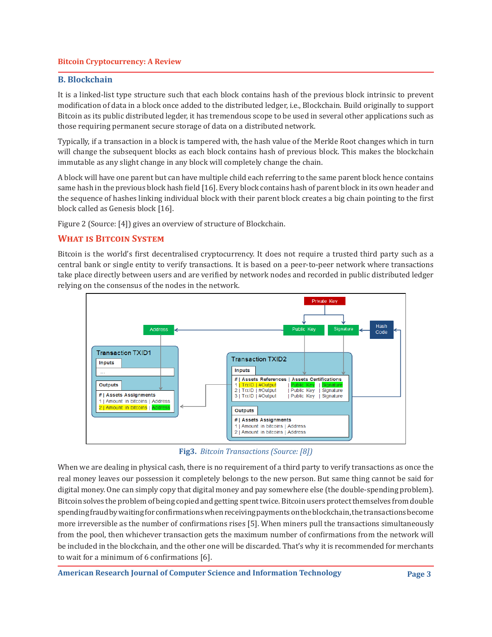## **B. Blockchain**

It is a linked-list type structure such that each block contains hash of the previous block intrinsic to prevent modification of data in a block once added to the distributed ledger, i.e., Blockchain. Build originally to support Bitcoin as its public distributed legder, it has tremendous scope to be used in several other applications such as those requiring permanent secure storage of data on a distributed network.

Typically, if a transaction in a block is tampered with, the hash value of the Merkle Root changes which in turn will change the subsequent blocks as each block contains hash of previous block. This makes the blockchain immutable as any slight change in any block will completely change the chain.

A block will have one parent but can have multiple child each referring to the same parent block hence contains same hash in the previous block hash field [16]. Every block contains hash of parent block in its own header and the sequence of hashes linking individual block with their parent block creates a big chain pointing to the first block called as Genesis block [16].

Figure 2 (Source: [4]) gives an overview of structure of Blockchain.

# **What is Bitcoin System**

Bitcoin is the world's first decentralised cryptocurrency. It does not require a trusted third party such as a central bank or single entity to verify transactions. It is based on a peer-to-peer network where transactions take place directly between users and are verified by network nodes and recorded in public distributed ledger relying on the consensus of the nodes in the network.



**Fig3.** *Bitcoin Transactions (Source: [8])*

When we are dealing in physical cash, there is no requirement of a third party to verify transactions as once the real money leaves our possession it completely belongs to the new person. But same thing cannot be said for digital money. One can simply copy that digital money and pay somewhere else (the double-spending problem). Bitcoin solves the problem of being copied and getting spent twice. Bitcoin users protect themselves from double spending fraud by waiting for confirmations when receiving payments on the blockchain, the transactions become more irreversible as the number of confirmations rises [5]. When miners pull the transactions simultaneously from the pool, then whichever transaction gets the maximum number of confirmations from the network will be included in the blockchain, and the other one will be discarded. That's why it is recommended for merchants to wait for a minimum of 6 confirmations [6].

**American Research Journal of Computer Science and Information Technology**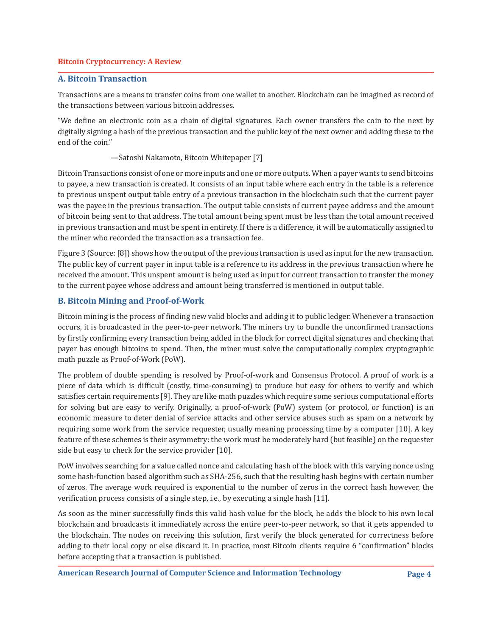## **A. Bitcoin Transaction**

Transactions are a means to transfer coins from one wallet to another. Blockchain can be imagined as record of the transactions between various bitcoin addresses.

"We define an electronic coin as a chain of digital signatures. Each owner transfers the coin to the next by digitally signing a hash of the previous transaction and the public key of the next owner and adding these to the end of the coin."

#### —Satoshi Nakamoto, Bitcoin Whitepaper [7]

Bitcoin Transactions consist of one or more inputs and one or more outputs. When a payer wants to send bitcoins to payee, a new transaction is created. It consists of an input table where each entry in the table is a reference to previous unspent output table entry of a previous transaction in the blockchain such that the current payer was the payee in the previous transaction. The output table consists of current payee address and the amount of bitcoin being sent to that address. The total amount being spent must be less than the total amount received in previous transaction and must be spent in entirety. If there is a difference, it will be automatically assigned to the miner who recorded the transaction as a transaction fee.

Figure 3 (Source: [8]) shows how the output of the previous transaction is used as input for the new transaction. The public key of current payer in input table is a reference to its address in the previous transaction where he received the amount. This unspent amount is being used as input for current transaction to transfer the money to the current payee whose address and amount being transferred is mentioned in output table.

## **B. Bitcoin Mining and Proof-of-Work**

Bitcoin mining is the process of finding new valid blocks and adding it to public ledger. Whenever a transaction occurs, it is broadcasted in the peer-to-peer network. The miners try to bundle the unconfirmed transactions by firstly confirming every transaction being added in the block for correct digital signatures and checking that payer has enough bitcoins to spend. Then, the miner must solve the computationally complex cryptographic math puzzle as Proof-of-Work (PoW).

The problem of double spending is resolved by Proof-of-work and Consensus Protocol. A proof of work is a piece of data which is difficult (costly, time-consuming) to produce but easy for others to verify and which satisfies certain requirements [9]. They are like math puzzles which require some serious computational efforts for solving but are easy to verify. Originally, a proof-of-work (PoW) system (or protocol, or function) is an economic measure to deter denial of service attacks and other service abuses such as spam on a network by requiring some work from the service requester, usually meaning processing time by a computer [10]. A key feature of these schemes is their asymmetry: the work must be moderately hard (but feasible) on the requester side but easy to check for the service provider [10].

PoW involves searching for a value called nonce and calculating hash of the block with this varying nonce using some hash-function based algorithm such as SHA-256, such that the resulting hash begins with certain number of zeros. The average work required is exponential to the number of zeros in the correct hash however, the verification process consists of a single step, i.e., by executing a single hash [11].

As soon as the miner successfully finds this valid hash value for the block, he adds the block to his own local blockchain and broadcasts it immediately across the entire peer-to-peer network, so that it gets appended to the blockchain. The nodes on receiving this solution, first verify the block generated for correctness before adding to their local copy or else discard it. In practice, most Bitcoin clients require 6 "confirmation" blocks before accepting that a transaction is published.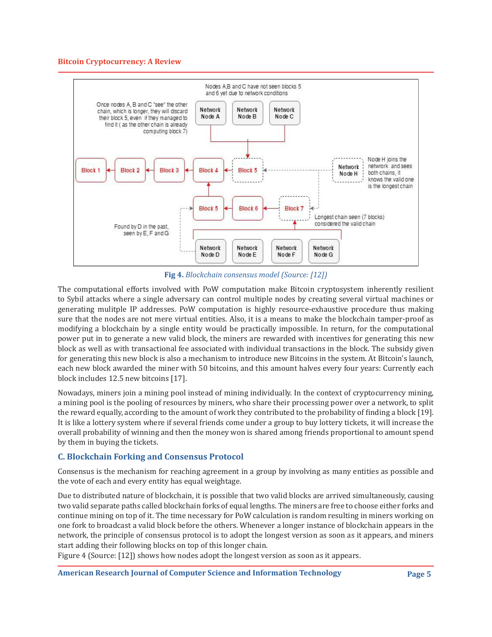

**Fig 4.** *Blockchain consensus model (Source: [12])*

The computational efforts involved with PoW computation make Bitcoin cryptosystem inherently resilient to Sybil attacks where a single adversary can control multiple nodes by creating several virtual machines or generating mulitple IP addresses. PoW computation is highly resource-exhaustive procedure thus making sure that the nodes are not mere virtual entities. Also, it is a means to make the blockchain tamper-proof as modifying a blockchain by a single entity would be practically impossible. In return, for the computational power put in to generate a new valid block, the miners are rewarded with incentives for generating this new block as well as with transactional fee associated with individual transactions in the block. The subsidy given for generating this new block is also a mechanism to introduce new Bitcoins in the system. At Bitcoin's launch, each new block awarded the miner with 50 bitcoins, and this amount halves every four years: Currently each block includes 12.5 new bitcoins [17].

Nowadays, miners join a mining pool instead of mining individually. In the context of cryptocurrency mining, a mining pool is the pooling of resources by miners, who share their processing power over a network, to split the reward equally, according to the amount of work they contributed to the probability of finding a block [19]. It is like a lottery system where if several friends come under a group to buy lottery tickets, it will increase the overall probability of winning and then the money won is shared among friends proportional to amount spend by them in buying the tickets.

# **C. Blockchain Forking and Consensus Protocol**

Consensus is the mechanism for reaching agreement in a group by involving as many entities as possible and the vote of each and every entity has equal weightage.

Due to distributed nature of blockchain, it is possible that two valid blocks are arrived simultaneously, causing two valid separate paths called blockchain forks of equal lengths. The miners are free to choose either forks and continue mining on top of it. The time necessary for PoW calculation is random resulting in miners working on one fork to broadcast a valid block before the others. Whenever a longer instance of blockchain appears in the network, the principle of consensus protocol is to adopt the longest version as soon as it appears, and miners start adding their following blocks on top of this longer chain.

Figure 4 (Source: [12]) shows how nodes adopt the longest version as soon as it appears.

**American Research Journal of Computer Science and Information Technology**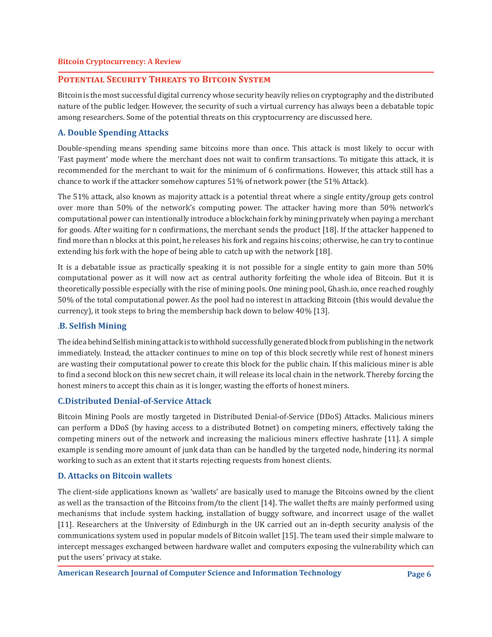# **POTENTIAL SECURITY THREATS TO BITCOIN SYSTEM**

Bitcoin is the most successful digital currency whose security heavily relies on cryptography and the distributed nature of the public ledger. However, the security of such a virtual currency has always been a debatable topic among researchers. Some of the potential threats on this cryptocurrency are discussed here.

# **A. Double Spending Attacks**

Double-spending means spending same bitcoins more than once. This attack is most likely to occur with 'Fast payment' mode where the merchant does not wait to confirm transactions. To mitigate this attack, it is recommended for the merchant to wait for the minimum of 6 confirmations. However, this attack still has a chance to work if the attacker somehow captures 51% of network power (the 51% Attack).

The 51% attack, also known as majority attack is a potential threat where a single entity/group gets control over more than 50% of the network's computing power. The attacker having more than 50% network's computational power can intentionally introduce a blockchain fork by mining privately when paying a merchant for goods. After waiting for n confirmations, the merchant sends the product [18]. If the attacker happened to find more than n blocks at this point, he releases his fork and regains his coins; otherwise, he can try to continue extending his fork with the hope of being able to catch up with the network [18].

It is a debatable issue as practically speaking it is not possible for a single entity to gain more than 50% computational power as it will now act as central authority forfeiting the whole idea of Bitcoin. But it is theoretically possible especially with the rise of mining pools. One mining pool, Ghash.io, once reached roughly 50% of the total computational power. As the pool had no interest in attacking Bitcoin (this would devalue the currency), it took steps to bring the membership back down to below 40% [13].

# .**B. Selfish Mining**

The idea behind Selfish mining attack is to withhold successfully generated block from publishing in the network immediately. Instead, the attacker continues to mine on top of this block secretly while rest of honest miners are wasting their computational power to create this block for the public chain. If this malicious miner is able to find a second block on this new secret chain, it will release its local chain in the network. Thereby forcing the honest miners to accept this chain as it is longer, wasting the efforts of honest miners.

# **C.Distributed Denial-of-Service Attack**

Bitcoin Mining Pools are mostly targeted in Distributed Denial-of-Service (DDoS) Attacks. Malicious miners can perform a DDoS (by having access to a distributed Botnet) on competing miners, effectively taking the competing miners out of the network and increasing the malicious miners effective hashrate [11]. A simple example is sending more amount of junk data than can be handled by the targeted node, hindering its normal working to such as an extent that it starts rejecting requests from honest clients.

# **D. Attacks on Bitcoin wallets**

The client-side applications known as 'wallets' are basically used to manage the Bitcoins owned by the client as well as the transaction of the Bitcoins from/to the client [14]. The wallet thefts are mainly performed using mechanisms that include system hacking, installation of buggy software, and incorrect usage of the wallet [11]. Researchers at the University of Edinburgh in the UK carried out an in-depth security analysis of the communications system used in popular models of Bitcoin wallet [15]. The team used their simple malware to intercept messages exchanged between hardware wallet and computers exposing the vulnerability which can put the users' privacy at stake.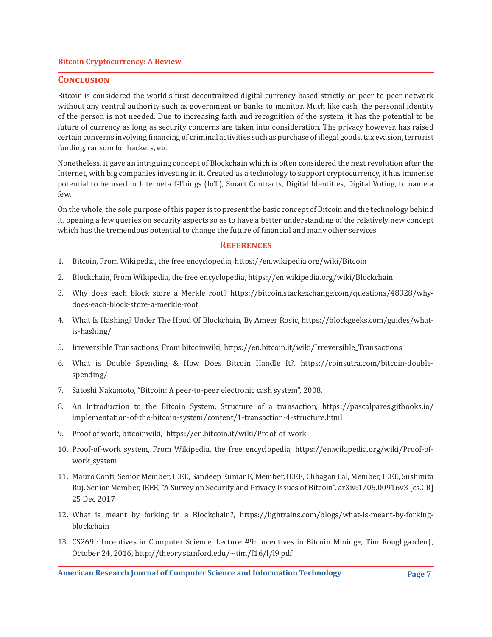## **Conclusion**

Bitcoin is considered the world's first decentralized digital currency based strictly on peer-to-peer network without any central authority such as government or banks to monitor. Much like cash, the personal identity of the person is not needed. Due to increasing faith and recognition of the system, it has the potential to be future of currency as long as security concerns are taken into consideration. The privacy however, has raised certain concerns involving financing of criminal activities such as purchase of illegal goods, tax evasion, terrorist funding, ransom for hackers, etc.

Nonetheless, it gave an intriguing concept of Blockchain which is often considered the next revolution after the Internet, with big companies investing in it. Created as a technology to support cryptocurrency, it has immense potential to be used in Internet-of-Things (IoT), Smart Contracts, Digital Identities, Digital Voting, to name a few.

On the whole, the sole purpose of this paper is to present the basic concept of Bitcoin and the technology behind it, opening a few queries on security aspects so as to have a better understanding of the relatively new concept which has the tremendous potential to change the future of financial and many other services.

## **References**

- 1. Bitcoin, From Wikipedia, the free encyclopedia, https://en.wikipedia.org/wiki/Bitcoin
- 2. Blockchain, From Wikipedia, the free encyclopedia, https://en.wikipedia.org/wiki/Blockchain
- 3. Why does each block store a Merkle root? https://bitcoin.stackexchange.com/questions/48928/whydoes-each-block-store-a-merkle-root
- 4. What Is Hashing? Under The Hood Of Blockchain, By Ameer Rosic, https://blockgeeks.com/guides/whatis-hashing/
- 5. Irreversible Transactions, From bitcoinwiki, https://en.bitcoin.it/wiki/Irreversible\_Transactions
- 6. What is Double Spending & How Does Bitcoin Handle It?, https://coinsutra.com/bitcoin-doublespending/
- 7. Satoshi Nakamoto, "Bitcoin: A peer-to-peer electronic cash system", 2008.
- 8. An Introduction to the Bitcoin System, Structure of a transaction, https://pascalpares.gitbooks.io/ implementation-of-the-bitcoin-system/content/1-transaction-4-structure.html
- 9. Proof of work, bitcoinwiki, https://en.bitcoin.it/wiki/Proof\_of\_work
- 10. Proof-of-work system, From Wikipedia, the free encyclopedia, https://en.wikipedia.org/wiki/Proof-ofwork\_system
- 11. Mauro Conti, Senior Member, IEEE, Sandeep Kumar E, Member, IEEE, Chhagan Lal, Member, IEEE, Sushmita Ruj, Senior Member, IEEE, "A Survey on Security and Privacy Issues of Bitcoin", arXiv:1706.00916v3 [cs.CR] 25 Dec 2017
- 12. What is meant by forking in a Blockchain?, https://lightrains.com/blogs/what-is-meant-by-forkingblockchain
- 13. CS269I: Incentives in Computer Science, Lecture #9: Incentives in Bitcoin Mining∗, Tim Roughgarden†, October 24, 2016, http://theory.stanford.edu/~tim/f16/l/l9.pdf